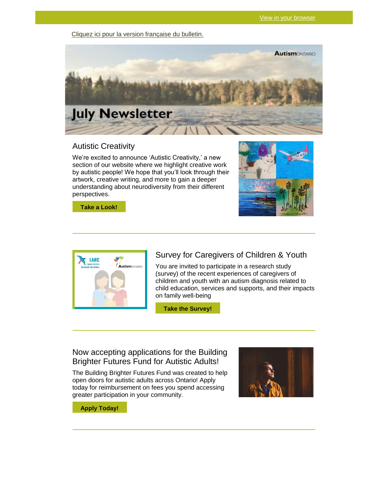[Cliquez ici pour la version française du bulletin.](https://www.autismontario.com/civicrm/mailing/view?id=852&reset=1)



### Autistic Creativity

We're excited to announce 'Autistic Creativity,' a new section of our website where we highlight creative work by autistic people! We hope that you'll look through their artwork, creative writing, and more to gain a deeper understanding about neurodiversity from their different perspectives.



**[Take a Look!](https://www.autismontario.com/civicrm/mailing/url?u=8035&qid=1549874)**



### Survey for Caregivers of Children & Youth

You are invited to participate in a research study (survey) of the recent experiences of caregivers of children and youth with an autism diagnosis related to child education, services and supports, and their impacts on family well-being

**[Take the Survey!](https://www.autismontario.com/civicrm/mailing/url?u=8036&qid=1549874)**

### Now accepting applications for the Building Brighter Futures Fund for Autistic Adults!

The Building Brighter Futures Fund was created to help open doors for autistic adults across Ontario! Apply today for reimbursement on fees you spend accessing greater participation in your community.



**[Apply Today!](https://www.autismontario.com/civicrm/mailing/url?u=8037&qid=1549874)**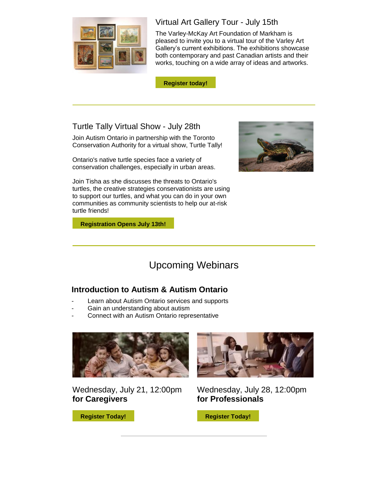

# Virtual Art Gallery Tour - July 15th

The Varley-McKay Art Foundation of Markham is pleased to invite you to a virtual tour of the Varley Art Gallery's current exhibitions. The exhibitions showcase both contemporary and past Canadian artists and their works, touching on a wide array of ideas and artworks.

**[Register today!](https://www.autismontario.com/civicrm/mailing/url?u=8038&qid=1549874)**

## Turtle Tally Virtual Show - July 28th

Join Autism Ontario in partnership with the Toronto Conservation Authority for a virtual show, Turtle Tally!

Ontario's native turtle species face a variety of conservation challenges, especially in urban areas.

Join Tisha as she discusses the threats to Ontario's turtles, the creative strategies conservationists are using to support our turtles, and what you can do in your own communities as community scientists to help our at-risk turtle friends!

**[Registration Opens July 13th!](https://www.autismontario.com/civicrm/mailing/url?u=8039&qid=1549874)**

# Upcoming Webinars

## **Introduction to Autism & Autism Ontario**

- Learn about Autism Ontario services and supports
- Gain an understanding about autism
- Connect with an Autism Ontario representative



Wednesday, July 21, 12:00pm **for Caregivers**



Wednesday, July 28, 12:00pm **for Professionals**

**[Register Today!](https://www.autismontario.com/civicrm/mailing/url?u=8041&qid=1549874)**

**[Register Today!](https://www.autismontario.com/civicrm/mailing/url?u=8040&qid=1549874)**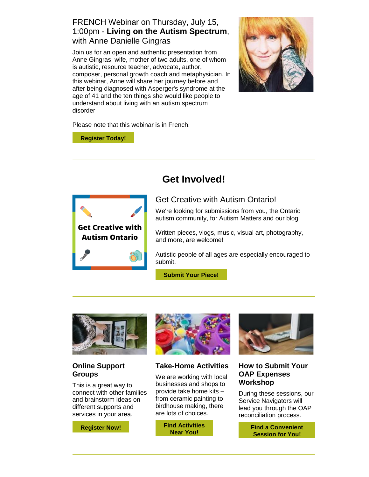## FRENCH Webinar on Thursday, July 15, 1:00pm - **Living on the Autism Spectrum**, with Anne Danielle Gingras

Join us for an open and authentic presentation from Anne Gingras, wife, mother of two adults, one of whom is autistic, resource teacher, advocate, author, composer, personal growth coach and metaphysician. In this webinar, Anne will share her journey before and after being diagnosed with Asperger's syndrome at the age of 41 and the ten things she would like people to understand about living with an autism spectrum disorder



Please note that this webinar is in French.

**[Register Today!](https://www.autismontario.com/civicrm/mailing/url?u=8042&qid=1549874)**



# **Get Involved!**

# Get Creative with Autism Ontario!

We're looking for submissions from you, the Ontario autism community, for Autism Matters and our blog!

Written pieces, vlogs, music, visual art, photography, and more, are welcome!

Autistic people of all ages are especially encouraged to submit.

**[Submit Your Piece!](https://www.autismontario.com/civicrm/mailing/url?u=8043&qid=1549874)**



### **Online Support Groups**

This is a great way to connect with other families and brainstorm ideas on different supports and services in your area.

**[Register Now!](https://www.autismontario.com/civicrm/mailing/url?u=8044&qid=1549874)**



#### **Take-Home Activities**

We are working with local businesses and shops to provide take home kits – from ceramic painting to birdhouse making, there are lots of choices.

> **[Find Activities](https://www.autismontario.com/civicrm/mailing/url?u=8045&qid=1549874)  [Near You!](https://www.autismontario.com/civicrm/mailing/url?u=8045&qid=1549874)**



#### **How to Submit Your OAP Expenses Workshop**

During these sessions, our Service Navigators will lead you through the OAP reconciliation process.

> **[Find a Convenient](https://www.autismontario.com/civicrm/mailing/url?u=8046&qid=1549874)  [Session for You!](https://www.autismontario.com/civicrm/mailing/url?u=8046&qid=1549874)**